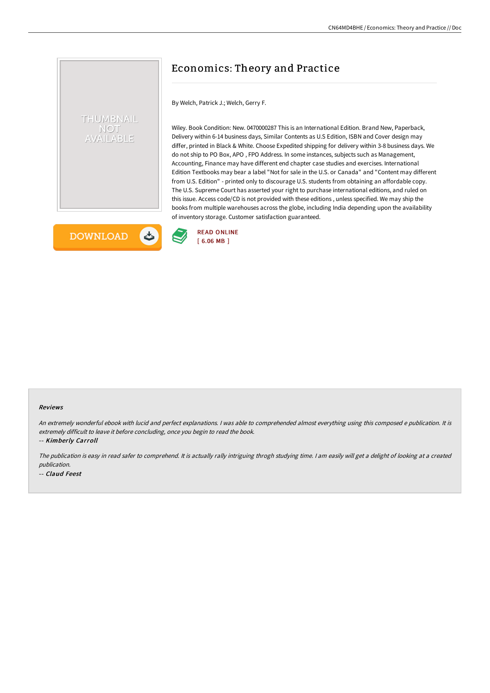# Economics: Theory and Practice

By Welch, Patrick J.; Welch, Gerry F.

Wiley. Book Condition: New. 0470000287 This is an International Edition. Brand New, Paperback, Delivery within 6-14 business days, Similar Contents as U.S Edition, ISBN and Cover design may differ, printed in Black & White. Choose Expedited shipping for delivery within 3-8 business days. We do not ship to PO Box, APO , FPO Address. In some instances, subjects such as Management, Accounting, Finance may have different end chapter case studies and exercises. International Edition Textbooks may bear a label "Not for sale in the U.S. or Canada" and "Content may different from U.S. Edition" - printed only to discourage U.S. students from obtaining an affordable copy. The U.S. Supreme Court has asserted your right to purchase international editions, and ruled on this issue. Access code/CD is not provided with these editions , unless specified. We may ship the books from multiple warehouses across the globe, including India depending upon the availability of inventory storage. Customer satisfaction guaranteed.



THUMBNAIL **NOT /AILABLE** 

Reviews

An extremely wonderful ebook with lucid and perfect explanations. <sup>I</sup> was able to comprehended almost everything using this composed <sup>e</sup> publication. It is extremely difficult to leave it before concluding, once you begin to read the book.

-- Kimberly Carroll

The publication is easy in read safer to comprehend. It is actually rally intriguing throgh studying time. <sup>I</sup> am easily will get <sup>a</sup> delight of looking at <sup>a</sup> created publication.

-- Claud Feest